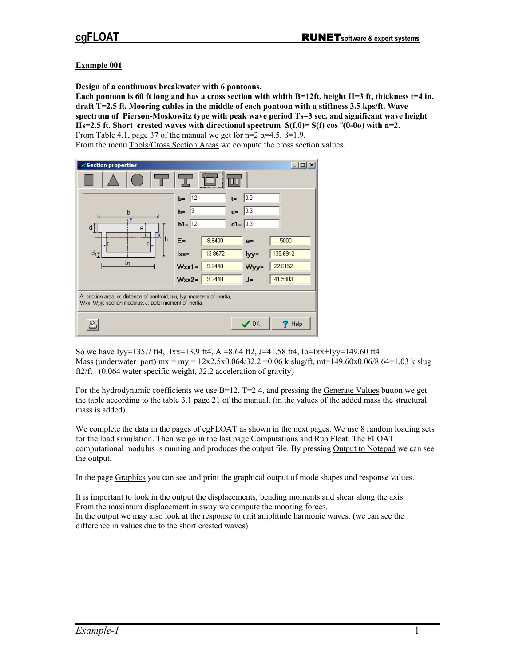## **Example 001**

**Design of a continuous breakwater with 6 pontoons.** 

**Each pontoon is 60 ft long and has a cross section with width B=12ft, height H=3 ft, thickness t=4 in, draft T=2.5 ft. Mooring cables in the middle of each pontoon with a stiffness 3.5 kps/ft. Wave spectrum of Pierson-Moskowitz type with peak wave period Ts=3 sec, and significant wave height**  $\textbf{H}\textbf{s} = 2.5 \text{ ft. Short created waves with directional spectrum } S(f, \theta) = S(f) \cos^{n}(\theta - \theta o) \text{ with } n=2.$ From Table 4.1, page 37 of the manual we get for n=2  $\alpha$ =4.5,  $\beta$ =1.9.

From the menu Tools/Cross Section Areas we compute the cross section values.



So we have Iyy=135.7 ft4, Ixx=13.9 ft4, A =8.64 ft2, J=41.58 ft4, Io=Ixx+Iyy=149.60 ft4 Mass (underwater part) mx = my =  $12x2.5x0.064/32.2 = 0.06$  k slug/ft, mt=149.60x0.06/8.64=1.03 k slug ft2/ft (0.064 water specific weight, 32.2 acceleration of gravity)

For the hydrodynamic coefficients we use  $B=12$ ,  $T=2.4$ , and pressing the Generate Values button we get the table according to the table 3.1 page 21 of the manual. (in the values of the added mass the structural mass is added)

We complete the data in the pages of cgFLOAT as shown in the next pages. We use 8 random loading sets for the load simulation. Then we go in the last page Computations and Run Float. The FLOAT computational modulus is running and produces the output file. By pressing Output to Notepad we can see the output.

In the page Graphics you can see and print the graphical output of mode shapes and response values.

It is important to look in the output the displacements, bending moments and shear along the axis. From the maximum displacement in sway we compute the mooring forces. In the output we may also look at the response to unit amplitude harmonic waves. (we can see the difference in values due to the short crested waves)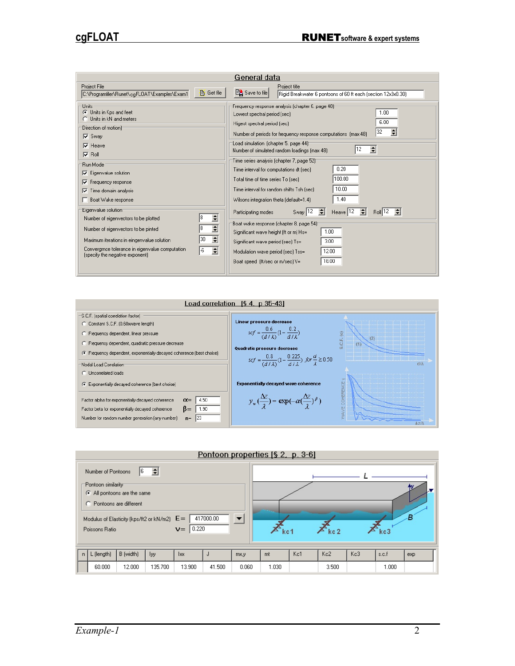| General data                                                                                                                                                                                                                                                                                                                                                                                                                                                                                                                                                                                             |                                                                                                                                                                                                                                                                                                                                                                                                                                                                                                                                                                                                                                                                                                                                                                                                                                                                                                                                                      |  |  |  |  |  |  |
|----------------------------------------------------------------------------------------------------------------------------------------------------------------------------------------------------------------------------------------------------------------------------------------------------------------------------------------------------------------------------------------------------------------------------------------------------------------------------------------------------------------------------------------------------------------------------------------------------------|------------------------------------------------------------------------------------------------------------------------------------------------------------------------------------------------------------------------------------------------------------------------------------------------------------------------------------------------------------------------------------------------------------------------------------------------------------------------------------------------------------------------------------------------------------------------------------------------------------------------------------------------------------------------------------------------------------------------------------------------------------------------------------------------------------------------------------------------------------------------------------------------------------------------------------------------------|--|--|--|--|--|--|
| Project File<br><b>B</b> Get file<br>C:\Programfiler\Runet\cgFLOAT\Examples\Exam1                                                                                                                                                                                                                                                                                                                                                                                                                                                                                                                        | Project title<br>图 Save to file<br>Rigid Breakwater 6 pontoons of 60 ft each (section 12x3x0.30)                                                                                                                                                                                                                                                                                                                                                                                                                                                                                                                                                                                                                                                                                                                                                                                                                                                     |  |  |  |  |  |  |
| Units<br><b>C</b> Units in Kps and feet<br>Units in kN and meters<br>'Direction of motion)⊤<br>$\nabla$ Sway<br>$\nabla$ Heave<br>$\nabla$ Roll<br>Run Mode<br>$\nabla$ Eigenvalue solution<br>$\nabla$ Frequency response<br>Time domain analysis<br>⊽<br>Boat Wake response<br>Eigenvalue solution<br>$\overline{\mathbf{H}}$<br>Number of eigenvectors to be plotted<br>$\overline{\mathbf{t}}$<br>Number of eigenvectors to be pinted<br>÷<br>30<br>Maximum iterations in eingenvalue solution<br>Convergince tolerance in eigenvalue computation<br>$\div$<br>-6<br>(specify the negative exponent) | Frequency response analysis (chapter 6, page 48)<br>1.00<br>Lowest spectral period (sec)<br>6.00<br>Higest spectral period (sec)<br>32<br>÷<br>Number of periods for frequency response computations (max 48)<br>'Load simulation (chapter 5, page 44) <sup>-</sup><br>÷<br>Number of simulated random loadings (max 48)<br>Time series analysis (chapter 7, page 52) <sup>.</sup><br>0.20<br>Time interval for computations dt [sec]<br>100.00<br>Total time of time series To (sec)<br>10.00<br>Time interval for random shifts Tsh [sec]<br>1.40<br>Wilsons integration theta (default=1.4)<br>≑∣<br>Heave $12 \div$<br>$B \circ \parallel 12$ $\Leftarrow$<br>Sway $ 12 $<br>Participating modes<br>Boat wake response (chapter 8, page 54) <sup>-</sup><br>1.00<br>Significant wave height (ft or m) Hs=<br>3.00<br>Significant wave period [sec] Ts=<br>12.00<br>Modulation wave period [sec] Tss=<br>18.00<br>Boat speed (ft/sec or m/sec) V= |  |  |  |  |  |  |

| Load correlation $[\$ 4, p 35-43]$                                                                                                                                                                            |                                                                                               |  |  |  |  |  |  |
|---------------------------------------------------------------------------------------------------------------------------------------------------------------------------------------------------------------|-----------------------------------------------------------------------------------------------|--|--|--|--|--|--|
| S.C.F. (spatial correlation factor)<br>Linear pressure decrease<br>C Constant S.C.F. (0.60xwave length)                                                                                                       |                                                                                               |  |  |  |  |  |  |
| $scf = \frac{0.6}{(d/\lambda)}(1 - \frac{0.2}{d/\lambda})$<br>C Frequency dependent, linear pressure                                                                                                          | (2)                                                                                           |  |  |  |  |  |  |
| C Frequensy dependent, quadratic pressure decrease<br>Quadratic pressure decrease                                                                                                                             |                                                                                               |  |  |  |  |  |  |
| Firequency dependent, exponentially decayed coherence (best choise)                                                                                                                                           | $scf = \frac{0.8}{(d/\lambda)}(1 - \frac{0.225}{d/\lambda})$ for $\frac{d}{\lambda} \ge 0.50$ |  |  |  |  |  |  |
| Nodal Load Correlation<br>C Uncorrelated loads                                                                                                                                                                | din                                                                                           |  |  |  |  |  |  |
| <b>Exponentially decayed wave coherence</b><br>C Exponentially decayed coherence (best choise)                                                                                                                |                                                                                               |  |  |  |  |  |  |
| 4.50<br>Factor alpha for exponentially decayed coherence<br>$\alpha =$<br>$B=$<br>1.90<br>Factor beta for exponentially decayed coherence<br> 23<br>Number for random number generation (any number)<br>$n =$ | $y_w(\frac{\Delta z}{2}) = \exp(-\alpha(\frac{\Delta z}{2})^{\beta})$                         |  |  |  |  |  |  |
|                                                                                                                                                                                                               | Az/A                                                                                          |  |  |  |  |  |  |

|                                                                                                                     | Pontoon properties [§ 2, p. 3-6] |           |         |        |        |       |       |                 |       |     |       |     |
|---------------------------------------------------------------------------------------------------------------------|----------------------------------|-----------|---------|--------|--------|-------|-------|-----------------|-------|-----|-------|-----|
| ÷<br>Number of Pontoons<br>16.<br>=Pontoon similarity=<br>All pontoons are the same<br>О.<br>Pontoons are different |                                  |           |         |        |        | ۱v.   |       |                 |       |     |       |     |
| 417000.00<br>Modulus of Elasticity (kps/ft2 or kN/m2) $E =$<br>▼<br> 0.220 <br>$v =$<br>Poissons Ratio              |                                  |           |         |        |        | kc1   |       | kc <sub>2</sub> |       | kc3 | в     |     |
| n                                                                                                                   | L (length)                       | B (width) | lyy.    | lxx.   |        | mx,y  | mt    | Kc1             | Kc2   | Kc3 | s.c.f | exp |
|                                                                                                                     | 60,000                           | 12.000    | 135,700 | 13.900 | 41.500 | 0.060 | 1.030 |                 | 3.500 |     | 1.000 |     |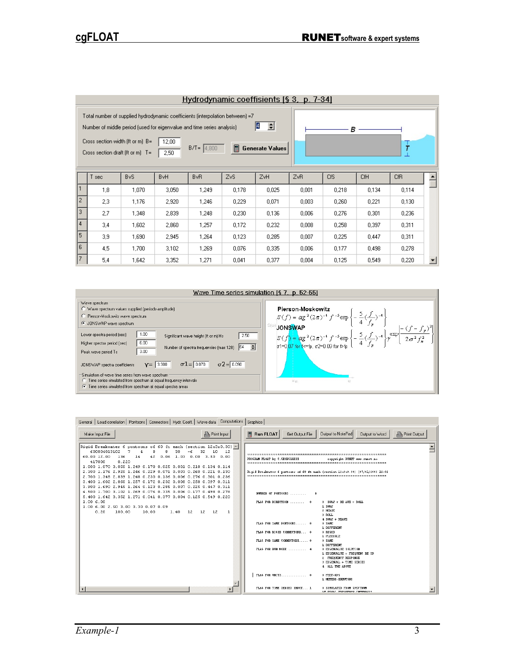|                                                                                                                                                                                                                                                                                                                           | Hydrodynamic coeffisients [§ 3, p. 7-34] |                         |                        |                 |       |       |       |            |            |       |  |
|---------------------------------------------------------------------------------------------------------------------------------------------------------------------------------------------------------------------------------------------------------------------------------------------------------------------------|------------------------------------------|-------------------------|------------------------|-----------------|-------|-------|-------|------------|------------|-------|--|
| Total number of supplied hydrodynamic coefficients (interpolation between) =7<br>슬<br>14<br>Number of middle period (used for eigenvalue and time series analysis)<br>в<br>Cross section width (ft or m) $B =$<br>12,00<br>$\tau$<br>圖<br>$B/T = 4,800$<br>Generate Values<br>Cross section draft (ft or m) $T =$<br>2,50 |                                          |                         |                        |                 |       |       |       |            |            |       |  |
|                                                                                                                                                                                                                                                                                                                           | T seci                                   | <b>B</b> <sub>v</sub> S | <b>B</b> <sub>vH</sub> | B <sub>vR</sub> | ZvS   | ZvH   | ZvR   | <b>CfS</b> | <b>CfH</b> | CfR   |  |
|                                                                                                                                                                                                                                                                                                                           | 1,8                                      | 1,070                   | 3,050                  | 1,249           | 0,178 | 0,025 | 0,001 | 0,218      | 0,134      | 0,114 |  |
| $\overline{2}$                                                                                                                                                                                                                                                                                                            | 2,3                                      | 1,176                   | 2,920                  | 1,246           | 0,229 | 0.071 | 0.003 | 0.260      | 0,221      | 0.130 |  |
| 3                                                                                                                                                                                                                                                                                                                         | 2.7                                      | 1,348                   | 2,839                  | 1,248           | 0,230 | 0,136 | 0,006 | 0,276      | 0,301      | 0,236 |  |
| $\overline{4}$                                                                                                                                                                                                                                                                                                            | 3.4                                      | 1,602                   | 2,860                  | 1,257           | 0,172 | 0,232 | 0.008 | 0,258      | 0,397      | 0,311 |  |
| 5                                                                                                                                                                                                                                                                                                                         | 3.9                                      | 1,690                   | 2,945                  | 1,264           | 0.123 | 0,285 | 0,007 | 0,225      | 0.447      | 0,311 |  |
| 6                                                                                                                                                                                                                                                                                                                         | 4.5                                      | 1,700                   | 3,102                  | 1,269           | 0.076 | 0,335 | 0,006 | 0.177      | 0.498      | 0,278 |  |
| $\overline{7}$                                                                                                                                                                                                                                                                                                            | 5,4                                      | 1,642                   | 3,352                  | 1,271           | 0.041 | 0,377 | 0.004 | 0.125      | 0,549      | 0,220 |  |



| General   Load correlation   Pontoons   Connectors   Hydr. Coeff.   Wave data   Computations   Graphics                                                                                                                                                                                                                                                                                                                                                                                                                                                                                                                                                                                                                                                                                                                     |                                                                                                                                                                                                                                                                                                                                                                                                                                                                                                                                                                                                     |
|-----------------------------------------------------------------------------------------------------------------------------------------------------------------------------------------------------------------------------------------------------------------------------------------------------------------------------------------------------------------------------------------------------------------------------------------------------------------------------------------------------------------------------------------------------------------------------------------------------------------------------------------------------------------------------------------------------------------------------------------------------------------------------------------------------------------------------|-----------------------------------------------------------------------------------------------------------------------------------------------------------------------------------------------------------------------------------------------------------------------------------------------------------------------------------------------------------------------------------------------------------------------------------------------------------------------------------------------------------------------------------------------------------------------------------------------------|
| <b>A</b> Print Input<br>Make Input File                                                                                                                                                                                                                                                                                                                                                                                                                                                                                                                                                                                                                                                                                                                                                                                     | Output to NotePad<br><b>A</b> Print Output<br>$\Box$ Run FLOAT<br>Get Output File<br><b>Qutput to Word</b>                                                                                                                                                                                                                                                                                                                                                                                                                                                                                          |
| Rigid Breakwater 6 pontoons of 60 ft each (section $12x3x0.30$ ) $\triangle$<br>600004013102<br>7<br>32<br>10<br>8<br>8<br>30.<br>- 12<br>$\mathbf{d}$<br>-6<br>$60.00$ $12.00$<br>136<br>14<br>$1.03$ 0.00 3.50 0.00<br>42<br>0.06<br>417000<br>0.220<br>1.800 1.070 3.050 1.249 0.178 0.025 0.001 0.218 0.134 0.114<br>2.300 1.176 2.920 1.246 0.229 0.071 0.003 0.260 0.221 0.130<br>2.700 1.348 2.839 1.248 0.230 0.136 0.006 0.276 0.301 0.236<br>3.400 1.602 2.860 1.257 0.172 0.232 0.008 0.258 0.397 0.311<br>3.900 1.690 2.945 1.264 0.123 0.285 0.007 0.225 0.447 0.311<br>4.500 1.700 3.102 1.269 0.076 0.335 0.006 0.177 0.498 0.278<br>5.400 1.642 3.352 1.271 0.041 0.377 0.004 0.125 0.549 0.220<br>1.006.00<br>1.00 6.00 2.50 3.00 3.30 0.07 0.09<br>1.40<br>0.20<br>$12 \t12 \t12$<br>1<br>100.00<br>10.00 | PROGRAM FLOAT by C. GEORGIADIS<br>copyright RUNET same.runet.no<br>Rigid Breakwater 6 pontoons of 60 ft each (section 12x3x0.30) [07/01/2003 12:02<br>NUMBER OF PONTOONS<br>6<br>$0$ SGAY + HE AVE + ROLL<br>1 36149<br>2 HEAVE<br>3 ROLL<br>$4$ SHAY + HEAVE<br>FLAG FOR SAME PONTOONS 0<br>0 SAME<br>1 DIFFERENT<br>FLAG FOR RIGID CONNECTORS 0<br>0 RIGID<br>1 FLEXIBLE<br>FLAG FOR SAME CONNECTORS 0<br>0 SAME<br>1 DIFFERENT<br>0 EIGENVALUE SOLUTION<br>1 EIGENALUE + FREQUENC RE SP<br>2 FREQUENCY RESPONSE<br>3 EIGENVAL + TIME SERIES<br>4 ALL THE ABOVE<br>FLAG FOR UNITS 0<br>0 FEET-KPS |
|                                                                                                                                                                                                                                                                                                                                                                                                                                                                                                                                                                                                                                                                                                                                                                                                                             | 1 METERS-KNEMTONS<br>FLAG FOR TIME SERIES INPUT 1<br>0 SIMULATED FROM SPECTRUM<br>ar poult proportions interestate                                                                                                                                                                                                                                                                                                                                                                                                                                                                                  |